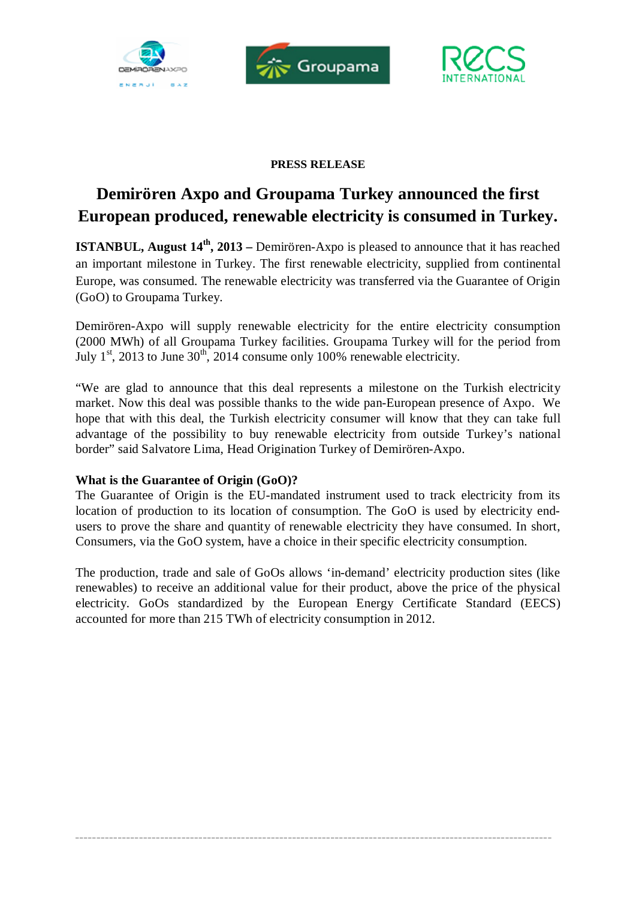





## **PRESS RELEASE**

# **Demirören Axpo and Groupama Turkey announced the first European produced, renewable electricity is consumed in Turkey.**

**ISTANBUL, August 14th , 2013 –**Demirören-Axpo is pleased to announce that it has reached an important milestone in Turkey. The first renewable electricity, supplied from continental Europe, was consumed. The renewable electricity was transferred via the Guarantee of Origin (GoO) to Groupama Turkey.

Demirören-Axpo will supply renewable electricity for the entire electricity consumption (2000 MWh) of all Groupama Turkey facilities. Groupama Turkey will for the period from July  $1<sup>st</sup>$ , 2013 to June  $30<sup>th</sup>$ , 2014 consume only 100% renewable electricity.

"We are glad to announce that this deal represents a milestone on the Turkish electricity market. Now this deal was possible thanks to the wide pan-European presence of Axpo. We hope that with this deal, the Turkish electricity consumer will know that they can take full advantage of the possibility to buy renewable electricity from outside Turkey's national border" said Salvatore Lima, Head Origination Turkey of Demirören-Axpo.

## **What is the Guarantee of Origin (GoO)?**

The Guarantee of Origin is the EU-mandated instrument used to track electricity from its location of production to its location of consumption. The GoO is used by electricity end users to prove the share and quantity of renewable electricity they have consumed. In short, Consumers, via the GoO system, have a choice in their specific electricity consumption.

The production, trade and sale of GoOs allows 'in-demand' electricity production sites (like renewables) to receive an additional value for their product, above the price of the physical electricity. GoOs standardized by the European Energy Certificate Standard (EECS) accounted for more than 215 TWh of electricity consumption in 2012.

**\_\_\_\_\_\_\_\_\_\_\_\_\_\_\_\_\_\_\_\_\_\_\_\_\_\_\_\_\_\_\_\_\_\_\_\_\_\_\_\_\_\_\_\_\_\_\_\_\_\_\_\_\_\_\_\_\_\_\_\_\_\_\_\_\_\_\_\_\_\_\_\_\_\_\_\_\_\_\_\_\_\_\_\_\_\_\_\_\_\_\_\_\_\_\_\_\_\_\_\_\_\_\_\_\_\_\_\_\_\_\_\_**